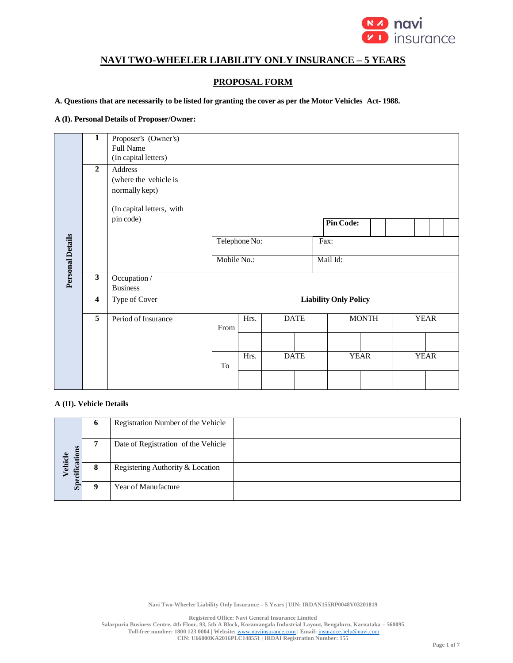

# **NAVI TWO-WHEELER LIABILITY ONLY INSURANCE – 5 YEARS**

## **PROPOSAL FORM**

A. Questions that are necessarily to be listed for granting the cover as per the Motor Vehicles Act-1988.

#### **A (I). Personal Details of Proposer/Owner:**

|                         | $\overline{1}$          | Proposer's (Owner's)<br>Full Name<br>(In capital letters)                                    |             |               |             |          |                              |              |  |             |  |  |  |
|-------------------------|-------------------------|----------------------------------------------------------------------------------------------|-------------|---------------|-------------|----------|------------------------------|--------------|--|-------------|--|--|--|
|                         | $\overline{2}$          | Address<br>(where the vehicle is<br>normally kept)<br>(In capital letters, with<br>pin code) |             |               |             |          | <b>Pin Code:</b>             |              |  |             |  |  |  |
|                         |                         |                                                                                              |             | Telephone No: |             | Fax:     |                              |              |  |             |  |  |  |
| <b>Personal Details</b> |                         |                                                                                              | Mobile No.: |               |             | Mail Id: |                              |              |  |             |  |  |  |
|                         | $\overline{\mathbf{3}}$ | Occupation /<br><b>Business</b>                                                              |             |               |             |          |                              |              |  |             |  |  |  |
|                         | $\overline{\mathbf{4}}$ | <b>Type of Cover</b>                                                                         |             |               |             |          | <b>Liability Only Policy</b> |              |  |             |  |  |  |
|                         | 5                       | Period of Insurance                                                                          | From        | Hrs.          | <b>DATE</b> |          |                              | <b>MONTH</b> |  | <b>YEAR</b> |  |  |  |
|                         |                         |                                                                                              | To          | Hrs.          | <b>DATE</b> |          |                              | <b>YEAR</b>  |  | <b>YEAR</b> |  |  |  |
|                         |                         |                                                                                              |             |               |             |          |                              |              |  |             |  |  |  |

### **A (II). Vehicle Details**

|                            | $\mathbf o$ | Registration Number of the Vehicle  |
|----------------------------|-------------|-------------------------------------|
| cifications<br>ehicle<br>⋗ |             | Date of Registration of the Vehicle |
|                            | 8           | Registering Authority & Location    |
| <b>Spe</b>                 |             | Year of Manufacture                 |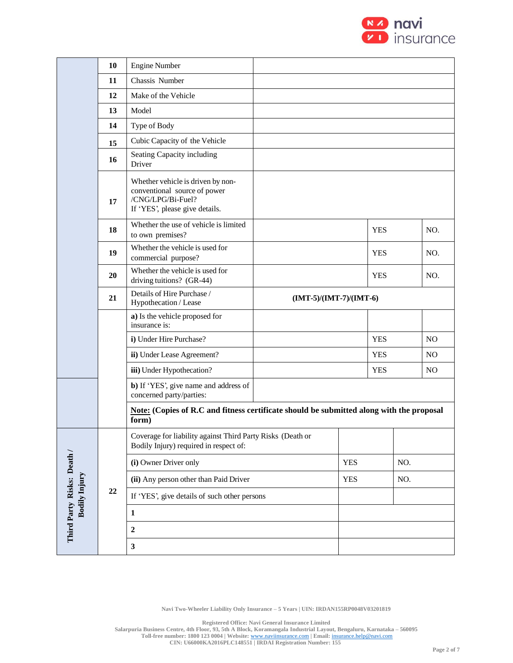

|                                                    | 10     | <b>Engine Number</b>                                                                                                     |                        |            |            |     |                |  |
|----------------------------------------------------|--------|--------------------------------------------------------------------------------------------------------------------------|------------------------|------------|------------|-----|----------------|--|
|                                                    | 11     | Chassis Number                                                                                                           |                        |            |            |     |                |  |
|                                                    | 12     | Make of the Vehicle                                                                                                      |                        |            |            |     |                |  |
|                                                    | 13     | Model                                                                                                                    |                        |            |            |     |                |  |
|                                                    | 14     | Type of Body                                                                                                             |                        |            |            |     |                |  |
|                                                    | 15     | Cubic Capacity of the Vehicle                                                                                            |                        |            |            |     |                |  |
|                                                    | 16     | Seating Capacity including<br>Driver                                                                                     |                        |            |            |     |                |  |
|                                                    | 17     | Whether vehicle is driven by non-<br>conventional source of power<br>/CNG/LPG/Bi-Fuel?<br>If 'YES', please give details. |                        |            |            |     |                |  |
|                                                    | 18     | Whether the use of vehicle is limited<br>to own premises?                                                                |                        |            | <b>YES</b> |     | NO.            |  |
|                                                    | 19     | Whether the vehicle is used for<br>commercial purpose?                                                                   |                        |            | <b>YES</b> |     | NO.            |  |
|                                                    | 20     | Whether the vehicle is used for<br>driving tuitions? (GR-44)                                                             |                        |            | <b>YES</b> |     | NO.            |  |
|                                                    | 21     | Details of Hire Purchase /<br>Hypothecation / Lease                                                                      | $(MT-5)/(MT-7)/(MT-6)$ |            |            |     |                |  |
|                                                    |        | a) Is the vehicle proposed for<br>insurance is:                                                                          |                        |            |            |     |                |  |
|                                                    |        | i) Under Hire Purchase?                                                                                                  |                        |            | <b>YES</b> |     | N <sub>O</sub> |  |
|                                                    |        | ii) Under Lease Agreement?                                                                                               |                        |            | <b>YES</b> |     | N <sub>O</sub> |  |
|                                                    |        | iii) Under Hypothecation?                                                                                                |                        |            |            |     | <b>NO</b>      |  |
|                                                    |        | b) If 'YES', give name and address of<br>concerned party/parties:                                                        |                        |            |            |     |                |  |
|                                                    |        | Note: (Copies of R.C and fitness certificate should be submitted along with the proposal<br>form)                        |                        |            |            |     |                |  |
|                                                    |        | Coverage for liability against Third Party Risks (Death or<br>Bodily Injury) required in respect of:                     |                        |            |            |     |                |  |
|                                                    |        | (i) Owner Driver only                                                                                                    |                        | <b>YES</b> |            | NO. |                |  |
|                                                    |        | (ii) Any person other than Paid Driver                                                                                   |                        | <b>YES</b> |            | NO. |                |  |
|                                                    | $22\,$ | If 'YES', give details of such other persons                                                                             |                        |            |            |     |                |  |
| Third Party Risks: Death /<br><b>Bodily Injury</b> |        | $\mathbf{1}$                                                                                                             |                        |            |            |     |                |  |
|                                                    |        | $\boldsymbol{2}$                                                                                                         |                        |            |            |     |                |  |
|                                                    |        | $\mathbf{3}$                                                                                                             |                        |            |            |     |                |  |
|                                                    |        |                                                                                                                          |                        |            |            |     |                |  |

**Registered Office: Navi General Insurance Limited**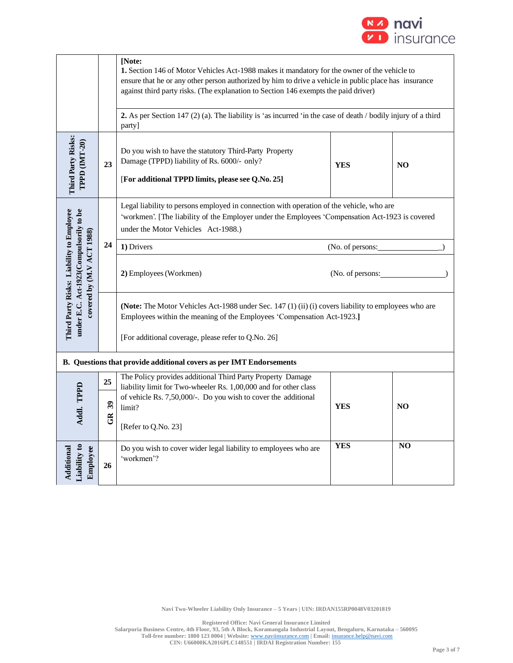

|                                                                                    |                                                | [Note:<br>1. Section 146 of Motor Vehicles Act-1988 makes it mandatory for the owner of the vehicle to<br>ensure that he or any other person authorized by him to drive a vehicle in public place has insurance<br>against third party risks. (The explanation to Section 146 exempts the paid driver) |                  |     |  |  |  |  |  |
|------------------------------------------------------------------------------------|------------------------------------------------|--------------------------------------------------------------------------------------------------------------------------------------------------------------------------------------------------------------------------------------------------------------------------------------------------------|------------------|-----|--|--|--|--|--|
|                                                                                    |                                                | 2. As per Section 147 (2) (a). The liability is 'as incurred 'in the case of death / bodily injury of a third<br>party]                                                                                                                                                                                |                  |     |  |  |  |  |  |
| Third Party Risks:<br>TPPD (IMT-20)                                                | 23                                             | Do you wish to have the statutory Third-Party Property<br>Damage (TPPD) liability of Rs. 6000/- only?<br><b>YES</b><br>N <sub>O</sub><br>[For additional TPPD limits, please see Q.No. 25]                                                                                                             |                  |     |  |  |  |  |  |
|                                                                                    |                                                | Legal liability to persons employed in connection with operation of the vehicle, who are<br>'workmen'. [The liability of the Employer under the Employees 'Compensation Act-1923 is covered<br>under the Motor Vehicles Act-1988.)                                                                     |                  |     |  |  |  |  |  |
|                                                                                    | 24                                             | 1) Drivers                                                                                                                                                                                                                                                                                             | (No. of persons: |     |  |  |  |  |  |
| covered by (M.V ACT 1988)                                                          |                                                | 2) Employees (Workmen)                                                                                                                                                                                                                                                                                 | (No. of persons: |     |  |  |  |  |  |
| Third Party Risks: Liability to Employee<br>under E.C. Act-1923(Compulsorily to be |                                                | (Note: The Motor Vehicles Act-1988 under Sec. 147 (1) (ii) (i) covers liability to employees who are<br>Employees within the meaning of the Employees 'Compensation Act-1923.]<br>[For additional coverage, please refer to Q.No. 26]                                                                  |                  |     |  |  |  |  |  |
|                                                                                    |                                                | B. Questions that provide additional covers as per IMT Endorsements                                                                                                                                                                                                                                    |                  |     |  |  |  |  |  |
|                                                                                    | 25                                             | The Policy provides additional Third Party Property Damage                                                                                                                                                                                                                                             |                  |     |  |  |  |  |  |
| Addl. TPPD                                                                         | $\boldsymbol{\mathfrak{F}}$<br>$\widetilde{G}$ | liability limit for Two-wheeler Rs. 1,00,000 and for other class<br>of vehicle Rs. 7,50,000/-. Do you wish to cover the additional<br>limit?<br>[Refer to Q.No. 23]                                                                                                                                    | <b>YES</b>       | NO. |  |  |  |  |  |
| Liability to<br>Employee<br>Additional                                             | 26                                             | Do you wish to cover wider legal liability to employees who are<br>'workmen'?                                                                                                                                                                                                                          | YES              | NO  |  |  |  |  |  |

**Navi Two-Wheeler Liability Only Insurance – 5 Years | UIN: IRDAN155RP0048V03201819**

**Registered Office: Navi General Insurance Limited**

**Salarpuria Business Centre, 4th Floor, 93, 5th A Block, Koramangala Industrial Layout, Bengaluru, Karnataka – 560095 Toll-free number: 1800 123 0004 | Website:** [www.naviinsurance.com](http://www.naviinsurance.com/) **| Email:** [insurance.help@navi.com](mailto:insurance.help@navi.com)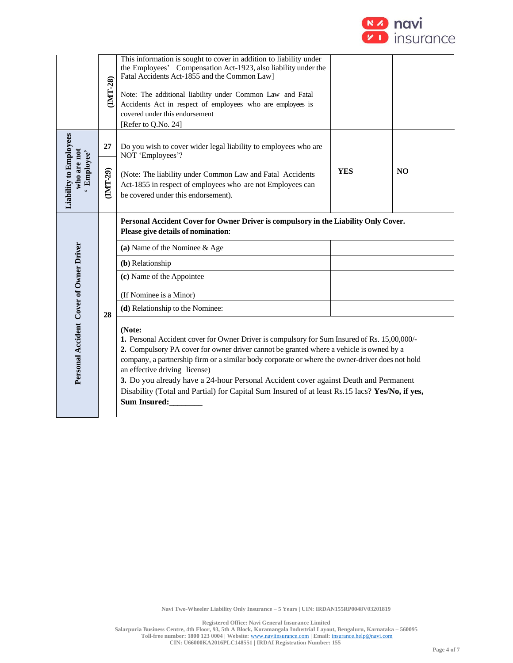

|                                                    | IMT-28)  | This information is sought to cover in addition to liability under<br>the Employees' Compensation Act-1923, also liability under the<br>Fatal Accidents Act-1855 and the Common Law]<br>Note: The additional liability under Common Law and Fatal<br>Accidents Act in respect of employees who are employees is<br>covered under this endorsement<br>[Refer to Q.No. 24]                                                                                                                                                                               |            |                |  |  |  |  |
|----------------------------------------------------|----------|--------------------------------------------------------------------------------------------------------------------------------------------------------------------------------------------------------------------------------------------------------------------------------------------------------------------------------------------------------------------------------------------------------------------------------------------------------------------------------------------------------------------------------------------------------|------------|----------------|--|--|--|--|
|                                                    | 27       | Do you wish to cover wider legal liability to employees who are<br>NOT 'Employees'?                                                                                                                                                                                                                                                                                                                                                                                                                                                                    |            |                |  |  |  |  |
| Liability to Employees<br>who are not<br>Employee' | (IMT-29) | (Note: The liability under Common Law and Fatal Accidents<br>Act-1855 in respect of employees who are not Employees can<br>be covered under this endorsement).                                                                                                                                                                                                                                                                                                                                                                                         | <b>YES</b> | N <sub>O</sub> |  |  |  |  |
|                                                    |          | Personal Accident Cover for Owner Driver is compulsory in the Liability Only Cover.<br>Please give details of nomination:                                                                                                                                                                                                                                                                                                                                                                                                                              |            |                |  |  |  |  |
|                                                    |          | (a) Name of the Nominee & Age                                                                                                                                                                                                                                                                                                                                                                                                                                                                                                                          |            |                |  |  |  |  |
|                                                    |          | (b) Relationship                                                                                                                                                                                                                                                                                                                                                                                                                                                                                                                                       |            |                |  |  |  |  |
|                                                    |          | (c) Name of the Appointee                                                                                                                                                                                                                                                                                                                                                                                                                                                                                                                              |            |                |  |  |  |  |
|                                                    |          | (If Nominee is a Minor)                                                                                                                                                                                                                                                                                                                                                                                                                                                                                                                                |            |                |  |  |  |  |
|                                                    | 28       | (d) Relationship to the Nominee:                                                                                                                                                                                                                                                                                                                                                                                                                                                                                                                       |            |                |  |  |  |  |
| Personal Accident Cover of Owner Driver            |          | (Note:<br>1. Personal Accident cover for Owner Driver is compulsory for Sum Insured of Rs. 15,00,000/-<br>2. Compulsory PA cover for owner driver cannot be granted where a vehicle is owned by a<br>company, a partnership firm or a similar body corporate or where the owner-driver does not hold<br>an effective driving license)<br>3. Do you already have a 24-hour Personal Accident cover against Death and Permanent<br>Disability (Total and Partial) for Capital Sum Insured of at least Rs.15 lacs? Yes/No, if yes,<br><b>Sum Insured:</b> |            |                |  |  |  |  |

**Registered Office: Navi General Insurance Limited**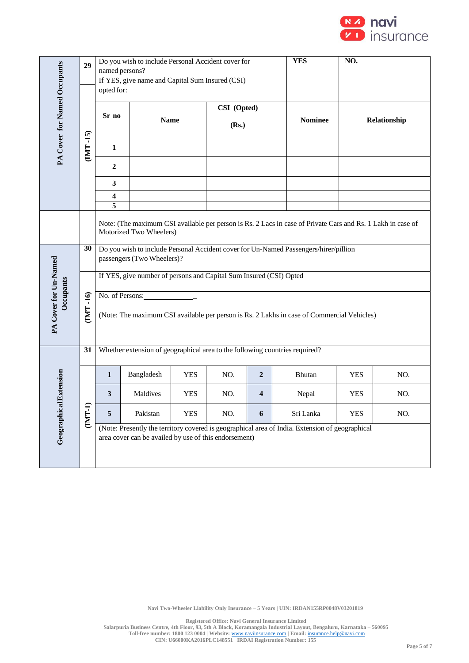

|                              | 29         | Do you wish to include Personal Accident cover for<br>named persons?<br>If YES, give name and Capital Sum Insured (CSI)<br>opted for:  |                                                                                                                    |            |     |                  | <b>YES</b>                                                                                      | NO.          |     |  |  |  |
|------------------------------|------------|----------------------------------------------------------------------------------------------------------------------------------------|--------------------------------------------------------------------------------------------------------------------|------------|-----|------------------|-------------------------------------------------------------------------------------------------|--------------|-----|--|--|--|
| PA Cover for Named Occupants | ၐ          | Sr no                                                                                                                                  | CSI (Opted)<br><b>Name</b><br>(Rs.)                                                                                |            |     |                  | <b>Nominee</b>                                                                                  | Relationship |     |  |  |  |
|                              | Ť<br>(IMT- | $\mathbf{1}$                                                                                                                           |                                                                                                                    |            |     |                  |                                                                                                 |              |     |  |  |  |
|                              |            | 2                                                                                                                                      |                                                                                                                    |            |     |                  |                                                                                                 |              |     |  |  |  |
|                              |            | 3                                                                                                                                      |                                                                                                                    |            |     |                  |                                                                                                 |              |     |  |  |  |
|                              |            | 4<br>5                                                                                                                                 |                                                                                                                    |            |     |                  |                                                                                                 |              |     |  |  |  |
|                              |            | Note: (The maximum CSI available per person is Rs. 2 Lacs in case of Private Cars and Rs. 1 Lakh in case of<br>Motorized Two Wheelers) |                                                                                                                    |            |     |                  |                                                                                                 |              |     |  |  |  |
|                              | 30         |                                                                                                                                        | Do you wish to include Personal Accident cover for Un-Named Passengers/hirer/pillion<br>passengers (Two Wheelers)? |            |     |                  |                                                                                                 |              |     |  |  |  |
|                              |            |                                                                                                                                        | If YES, give number of persons and Capital Sum Insured (CSI) Opted                                                 |            |     |                  |                                                                                                 |              |     |  |  |  |
| <b>Decupants</b>             | $-16$      | No. of Persons:                                                                                                                        |                                                                                                                    |            |     |                  |                                                                                                 |              |     |  |  |  |
| PA Cover for Un-Named        | <b>IML</b> |                                                                                                                                        |                                                                                                                    |            |     |                  | (Note: The maximum CSI available per person is Rs. 2 Lakhs in case of Commercial Vehicles)      |              |     |  |  |  |
|                              | 31         |                                                                                                                                        |                                                                                                                    |            |     |                  | Whether extension of geographical area to the following countries required?                     |              |     |  |  |  |
|                              |            | $\mathbf{1}$                                                                                                                           | Bangladesh                                                                                                         | <b>YES</b> | NO. | $\boldsymbol{2}$ | Bhutan                                                                                          | <b>YES</b>   | NO. |  |  |  |
| al Extension                 |            | 3                                                                                                                                      | Maldives                                                                                                           | <b>YES</b> | NO. | 4                | Nepal                                                                                           | <b>YES</b>   | NO. |  |  |  |
|                              | ≘<br>(IMT- | 5                                                                                                                                      | Pakistan                                                                                                           | <b>YES</b> | NO. | 6                | Sri Lanka                                                                                       | <b>YES</b>   | NO. |  |  |  |
| Geographic                   |            |                                                                                                                                        | area cover can be availed by use of this endorsement)                                                              |            |     |                  | (Note: Presently the territory covered is geographical area of India. Extension of geographical |              |     |  |  |  |

**Navi Two-Wheeler Liability Only Insurance – 5 Years | UIN: IRDAN155RP0048V03201819**

**Registered Office: Navi General Insurance Limited**

**Salarpuria Business Centre, 4th Floor, 93, 5th A Block, Koramangala Industrial Layout, Bengaluru, Karnataka – 560095 Toll-free number: 1800 123 0004 | Website:** [www.naviinsurance.com](http://www.naviinsurance.com/) **| Email:** [insurance.help@navi.com](mailto:insurance.help@navi.com)

**CIN: U66000KA2016PLC148551 | IRDAI Registration Number: 155**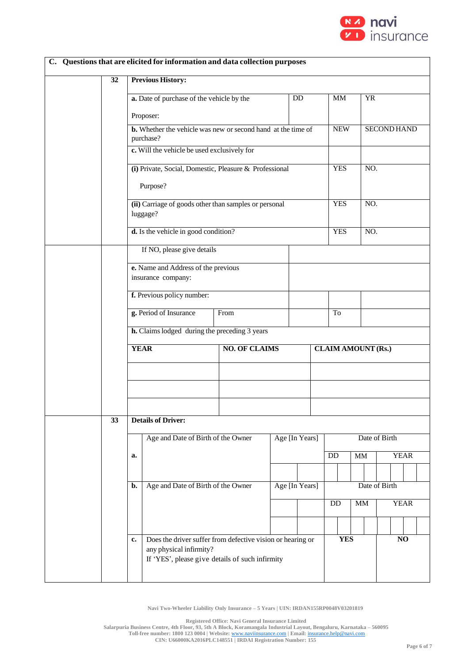

|                 |             | C. Questions that are elicited for information and data collection purposes                                                              |                      |  |                 |                           |                        |               |                    |  |
|-----------------|-------------|------------------------------------------------------------------------------------------------------------------------------------------|----------------------|--|-----------------|---------------------------|------------------------|---------------|--------------------|--|
| $\overline{32}$ |             | <b>Previous History:</b>                                                                                                                 |                      |  |                 |                           |                        |               |                    |  |
|                 |             | a. Date of purchase of the vehicle by the                                                                                                |                      |  | $\overline{DD}$ | MM                        |                        | <b>YR</b>     |                    |  |
|                 |             | Proposer:                                                                                                                                |                      |  |                 |                           |                        |               |                    |  |
|                 |             | <b>b.</b> Whether the vehicle was new or second hand at the time of<br>purchase?                                                         |                      |  |                 | <b>NEW</b>                |                        |               | <b>SECOND HAND</b> |  |
|                 |             | c. Will the vehicle be used exclusively for                                                                                              |                      |  |                 |                           |                        |               |                    |  |
|                 |             | (i) Private, Social, Domestic, Pleasure & Professional<br>Purpose?                                                                       |                      |  |                 | <b>YES</b>                |                        | NO.           |                    |  |
|                 |             | (ii) Carriage of goods other than samples or personal<br>luggage?                                                                        |                      |  |                 | <b>YES</b>                |                        | NO.           |                    |  |
|                 |             | d. Is the vehicle in good condition?                                                                                                     |                      |  |                 | <b>YES</b>                |                        | NO.           |                    |  |
|                 |             | If NO, please give details                                                                                                               |                      |  |                 |                           |                        |               |                    |  |
|                 |             | e. Name and Address of the previous<br>insurance company:                                                                                |                      |  |                 |                           |                        |               |                    |  |
|                 |             | f. Previous policy number:                                                                                                               |                      |  |                 |                           |                        |               |                    |  |
|                 |             | g. Period of Insurance                                                                                                                   | From                 |  |                 | To                        |                        |               |                    |  |
|                 |             | <b>h.</b> Claims lodged during the preceding 3 years                                                                                     |                      |  |                 |                           |                        |               |                    |  |
|                 | <b>YEAR</b> |                                                                                                                                          | <b>NO. OF CLAIMS</b> |  |                 | <b>CLAIM AMOUNT (Rs.)</b> |                        |               |                    |  |
|                 |             |                                                                                                                                          |                      |  |                 |                           |                        |               |                    |  |
|                 |             |                                                                                                                                          |                      |  |                 |                           |                        |               |                    |  |
| 33              |             | <b>Details of Driver:</b>                                                                                                                |                      |  |                 |                           |                        |               |                    |  |
|                 |             | Age and Date of Birth of the Owner                                                                                                       |                      |  | Age [In Years]  |                           |                        | Date of Birth |                    |  |
|                 | a.          |                                                                                                                                          |                      |  |                 | DD                        | $\mathbf{M}\mathbf{M}$ |               | <b>YEAR</b>        |  |
|                 |             |                                                                                                                                          |                      |  |                 |                           |                        |               |                    |  |
|                 | b.          | Age and Date of Birth of the Owner                                                                                                       |                      |  | Age [In Years]  |                           |                        | Date of Birth |                    |  |
|                 |             |                                                                                                                                          |                      |  |                 | DD                        | <b>MM</b>              |               | <b>YEAR</b>        |  |
|                 |             |                                                                                                                                          |                      |  |                 |                           |                        |               |                    |  |
|                 | c.          | Does the driver suffer from defective vision or hearing or<br>any physical infirmity?<br>If 'YES', please give details of such infirmity |                      |  |                 | <b>YES</b>                |                        |               | NO                 |  |

**Navi Two-Wheeler Liability Only Insurance – 5 Years | UIN: IRDAN155RP0048V03201819**

**Registered Office: Navi General Insurance Limited**